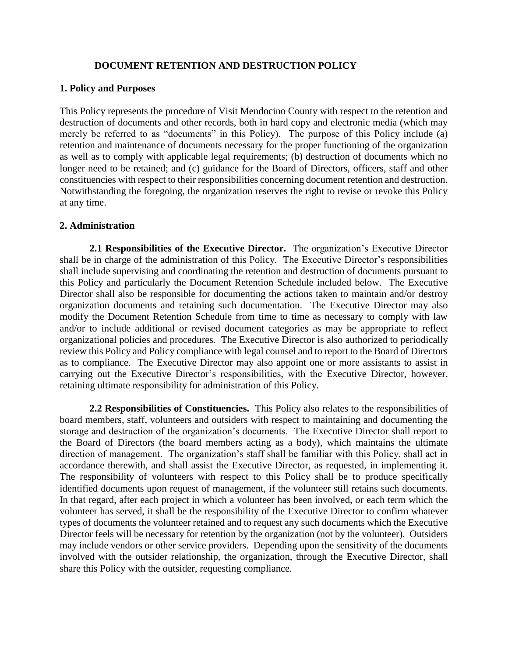#### **DOCUMENT RETENTION AND DESTRUCTION POLICY**

#### **1. Policy and Purposes**

This Policy represents the procedure of Visit Mendocino County with respect to the retention and destruction of documents and other records, both in hard copy and electronic media (which may merely be referred to as "documents" in this Policy). The purpose of this Policy include (a) retention and maintenance of documents necessary for the proper functioning of the organization as well as to comply with applicable legal requirements; (b) destruction of documents which no longer need to be retained; and (c) guidance for the Board of Directors, officers, staff and other constituencies with respect to their responsibilities concerning document retention and destruction. Notwithstanding the foregoing, the organization reserves the right to revise or revoke this Policy at any time.

#### **2. Administration**

**2.1 Responsibilities of the Executive Director.** The organization's Executive Director shall be in charge of the administration of this Policy. The Executive Director's responsibilities shall include supervising and coordinating the retention and destruction of documents pursuant to this Policy and particularly the Document Retention Schedule included below. The Executive Director shall also be responsible for documenting the actions taken to maintain and/or destroy organization documents and retaining such documentation. The Executive Director may also modify the Document Retention Schedule from time to time as necessary to comply with law and/or to include additional or revised document categories as may be appropriate to reflect organizational policies and procedures. The Executive Director is also authorized to periodically review this Policy and Policy compliance with legal counsel and to report to the Board of Directors as to compliance. The Executive Director may also appoint one or more assistants to assist in carrying out the Executive Director's responsibilities, with the Executive Director, however, retaining ultimate responsibility for administration of this Policy.

**2.2 Responsibilities of Constituencies.** This Policy also relates to the responsibilities of board members, staff, volunteers and outsiders with respect to maintaining and documenting the storage and destruction of the organization's documents. The Executive Director shall report to the Board of Directors (the board members acting as a body), which maintains the ultimate direction of management. The organization's staff shall be familiar with this Policy, shall act in accordance therewith, and shall assist the Executive Director, as requested, in implementing it. The responsibility of volunteers with respect to this Policy shall be to produce specifically identified documents upon request of management, if the volunteer still retains such documents. In that regard, after each project in which a volunteer has been involved, or each term which the volunteer has served, it shall be the responsibility of the Executive Director to confirm whatever types of documents the volunteer retained and to request any such documents which the Executive Director feels will be necessary for retention by the organization (not by the volunteer). Outsiders may include vendors or other service providers. Depending upon the sensitivity of the documents involved with the outsider relationship, the organization, through the Executive Director, shall share this Policy with the outsider, requesting compliance.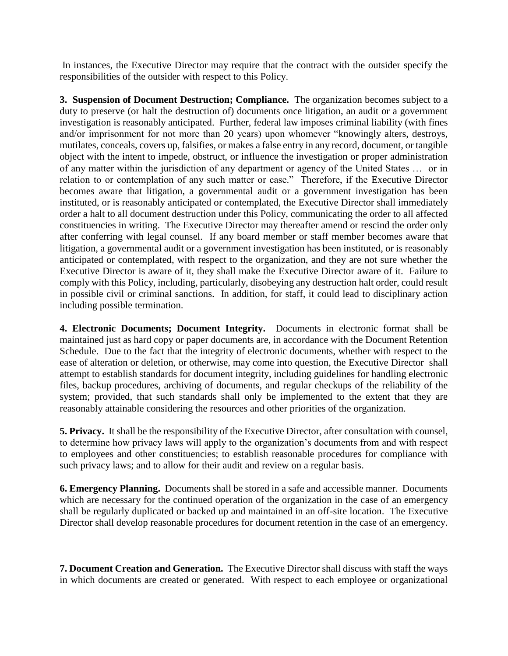In instances, the Executive Director may require that the contract with the outsider specify the responsibilities of the outsider with respect to this Policy.

**3. Suspension of Document Destruction; Compliance.** The organization becomes subject to a duty to preserve (or halt the destruction of) documents once litigation, an audit or a government investigation is reasonably anticipated. Further, federal law imposes criminal liability (with fines and/or imprisonment for not more than 20 years) upon whomever "knowingly alters, destroys, mutilates, conceals, covers up, falsifies, or makes a false entry in any record, document, or tangible object with the intent to impede, obstruct, or influence the investigation or proper administration of any matter within the jurisdiction of any department or agency of the United States … or in relation to or contemplation of any such matter or case." Therefore, if the Executive Director becomes aware that litigation, a governmental audit or a government investigation has been instituted, or is reasonably anticipated or contemplated, the Executive Director shall immediately order a halt to all document destruction under this Policy, communicating the order to all affected constituencies in writing. The Executive Director may thereafter amend or rescind the order only after conferring with legal counsel. If any board member or staff member becomes aware that litigation, a governmental audit or a government investigation has been instituted, or is reasonably anticipated or contemplated, with respect to the organization, and they are not sure whether the Executive Director is aware of it, they shall make the Executive Director aware of it. Failure to comply with this Policy, including, particularly, disobeying any destruction halt order, could result in possible civil or criminal sanctions. In addition, for staff, it could lead to disciplinary action including possible termination.

**4. Electronic Documents; Document Integrity.** Documents in electronic format shall be maintained just as hard copy or paper documents are, in accordance with the Document Retention Schedule. Due to the fact that the integrity of electronic documents, whether with respect to the ease of alteration or deletion, or otherwise, may come into question, the Executive Director shall attempt to establish standards for document integrity, including guidelines for handling electronic files, backup procedures, archiving of documents, and regular checkups of the reliability of the system; provided, that such standards shall only be implemented to the extent that they are reasonably attainable considering the resources and other priorities of the organization.

**5. Privacy.** It shall be the responsibility of the Executive Director, after consultation with counsel, to determine how privacy laws will apply to the organization's documents from and with respect to employees and other constituencies; to establish reasonable procedures for compliance with such privacy laws; and to allow for their audit and review on a regular basis.

**6. Emergency Planning.** Documents shall be stored in a safe and accessible manner. Documents which are necessary for the continued operation of the organization in the case of an emergency shall be regularly duplicated or backed up and maintained in an off-site location. The Executive Director shall develop reasonable procedures for document retention in the case of an emergency.

**7. Document Creation and Generation.** The Executive Director shall discuss with staff the ways in which documents are created or generated. With respect to each employee or organizational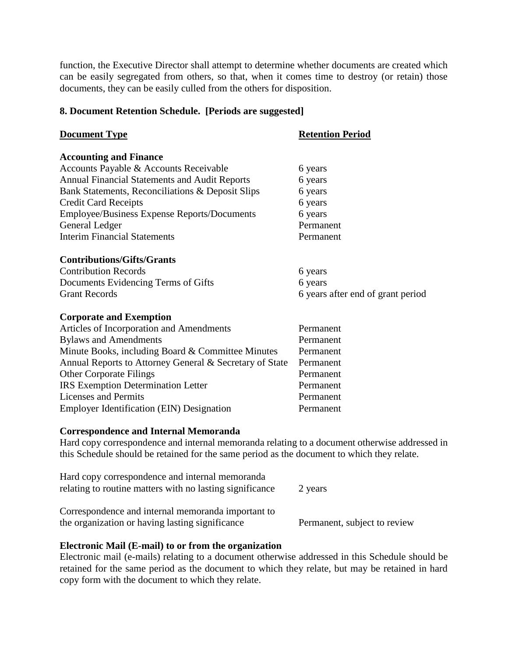function, the Executive Director shall attempt to determine whether documents are created which can be easily segregated from others, so that, when it comes time to destroy (or retain) those documents, they can be easily culled from the others for disposition.

#### **8. Document Retention Schedule. [Periods are suggested]**

| <b>Document Type</b>                                    | <b>Retention Period</b>           |
|---------------------------------------------------------|-----------------------------------|
| <b>Accounting and Finance</b>                           |                                   |
| Accounts Payable & Accounts Receivable                  | 6 years                           |
| Annual Financial Statements and Audit Reports           | 6 years                           |
| Bank Statements, Reconciliations & Deposit Slips        | 6 years                           |
| <b>Credit Card Receipts</b>                             | 6 years                           |
| <b>Employee/Business Expense Reports/Documents</b>      | 6 years                           |
| General Ledger                                          | Permanent                         |
| <b>Interim Financial Statements</b>                     | Permanent                         |
| <b>Contributions/Gifts/Grants</b>                       |                                   |
| <b>Contribution Records</b>                             | 6 years                           |
| Documents Evidencing Terms of Gifts                     | 6 years                           |
| <b>Grant Records</b>                                    | 6 years after end of grant period |
| <b>Corporate and Exemption</b>                          |                                   |
| Articles of Incorporation and Amendments                | Permanent                         |
| <b>Bylaws and Amendments</b>                            | Permanent                         |
| Minute Books, including Board & Committee Minutes       | Permanent                         |
| Annual Reports to Attorney General & Secretary of State | Permanent                         |
| <b>Other Corporate Filings</b>                          | Permanent                         |
| <b>IRS</b> Exemption Determination Letter               | Permanent                         |
| <b>Licenses and Permits</b>                             | Permanent                         |
| <b>Employer Identification (EIN) Designation</b>        | Permanent                         |

#### **Correspondence and Internal Memoranda**

Hard copy correspondence and internal memoranda relating to a document otherwise addressed in this Schedule should be retained for the same period as the document to which they relate.

| Hard copy correspondence and internal memoranda<br>relating to routine matters with no lasting significance | 2 years                      |
|-------------------------------------------------------------------------------------------------------------|------------------------------|
| Correspondence and internal memoranda important to                                                          |                              |
| the organization or having lasting significance                                                             | Permanent, subject to review |

#### **Electronic Mail (E-mail) to or from the organization**

Electronic mail (e-mails) relating to a document otherwise addressed in this Schedule should be retained for the same period as the document to which they relate, but may be retained in hard copy form with the document to which they relate.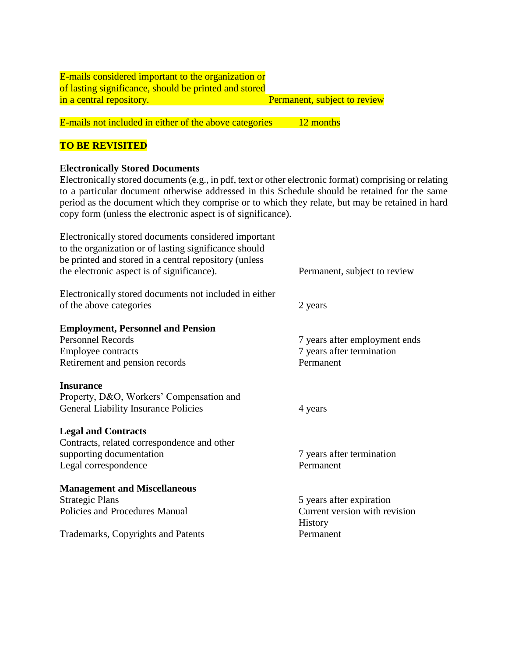| <b>E-mails considered important to the organization or</b> |                                     |
|------------------------------------------------------------|-------------------------------------|
| of lasting significance, should be printed and stored      |                                     |
| in a central repository.                                   | <b>Permanent, subject to review</b> |
|                                                            |                                     |

E-mails not included in either of the above categories 12 months

## **TO BE REVISITED**

### **Electronically Stored Documents**

Electronically stored documents (e.g., in pdf, text or other electronic format) comprising or relating to a particular document otherwise addressed in this Schedule should be retained for the same period as the document which they comprise or to which they relate, but may be retained in hard copy form (unless the electronic aspect is of significance).

| Electronically stored documents considered important<br>to the organization or of lasting significance should<br>be printed and stored in a central repository (unless |                                                 |
|------------------------------------------------------------------------------------------------------------------------------------------------------------------------|-------------------------------------------------|
| the electronic aspect is of significance).                                                                                                                             | Permanent, subject to review                    |
| Electronically stored documents not included in either                                                                                                                 |                                                 |
| of the above categories                                                                                                                                                | 2 years                                         |
| <b>Employment, Personnel and Pension</b>                                                                                                                               |                                                 |
| <b>Personnel Records</b>                                                                                                                                               | 7 years after employment ends                   |
| Employee contracts                                                                                                                                                     | 7 years after termination                       |
| Retirement and pension records                                                                                                                                         | Permanent                                       |
| <b>Insurance</b>                                                                                                                                                       |                                                 |
| Property, D&O, Workers' Compensation and                                                                                                                               |                                                 |
| General Liability Insurance Policies                                                                                                                                   | 4 years                                         |
| <b>Legal and Contracts</b>                                                                                                                                             |                                                 |
| Contracts, related correspondence and other                                                                                                                            |                                                 |
| supporting documentation                                                                                                                                               | 7 years after termination                       |
| Legal correspondence                                                                                                                                                   | Permanent                                       |
| <b>Management and Miscellaneous</b>                                                                                                                                    |                                                 |
| <b>Strategic Plans</b>                                                                                                                                                 | 5 years after expiration                        |
| Policies and Procedures Manual                                                                                                                                         | Current version with revision<br><b>History</b> |
| Trademarks, Copyrights and Patents                                                                                                                                     | Permanent                                       |